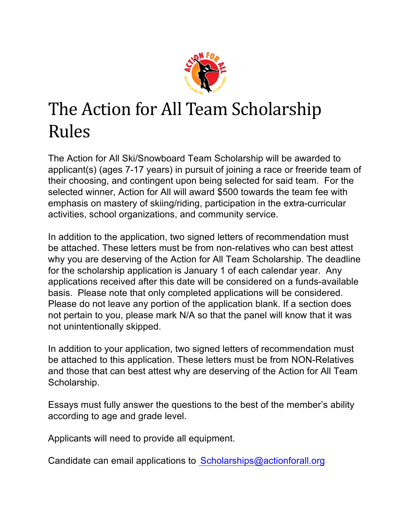

## The Action for All Team Scholarship Rules

The Action for All Ski/Snowboard Team Scholarship will be awarded to applicant(s) (ages 7-17 years) in pursuit of joining a race or freeride team of their choosing, and contingent upon being selected for said team. For the selected winner, Action for All will award \$500 towards the team fee with emphasis on mastery of skiing/riding, participation in the extra-curricular activities, school organizations, and community service.

In addition to the application, two signed letters of recommendation must be attached. These letters must be from non-relatives who can best attest why you are deserving of the Action for All Team Scholarship. The deadline for the scholarship application is January 1 of each calendar year. Any applications received after this date will be considered on a funds-available basis. Please note that only completed applications will be considered. Please do not leave any portion of the application blank. If a section does not pertain to you, please mark N/A so that the panel will know that it was not unintentionally skipped.

In addition to your application, two signed letters of recommendation must be attached to this application. These letters must be from NON-Relatives and those that can best attest why are deserving of the Action for All Team Scholarship.

Essays must fully answer the questions to the best of the member's ability according to age and grade level.

Applicants will need to provide all equipment.

Candidate can email applications to Scholarships@actionforall.org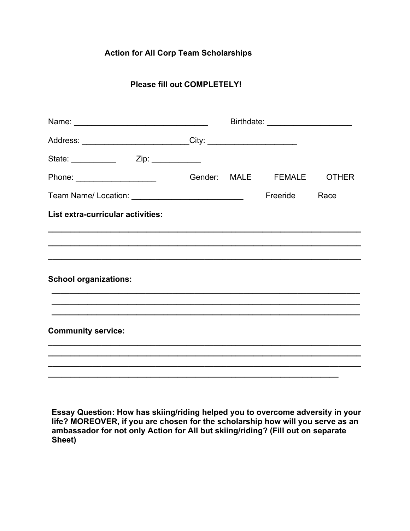## **Action for All Corp Team Scholarships**

## **Please fill out COMPLETELY!**

| Address: ______________________________City: ___________________________________ |  |  |                           |      |
|----------------------------------------------------------------------------------|--|--|---------------------------|------|
|                                                                                  |  |  |                           |      |
| Phone: _______________________                                                   |  |  | Gender: MALE FEMALE OTHER |      |
| Team Name/ Location: ______________________________                              |  |  | Freeride                  | Race |
| List extra-curricular activities:                                                |  |  |                           |      |
|                                                                                  |  |  |                           |      |
|                                                                                  |  |  |                           |      |
| <b>School organizations:</b>                                                     |  |  |                           |      |
|                                                                                  |  |  |                           |      |
| <b>Community service:</b>                                                        |  |  |                           |      |
|                                                                                  |  |  |                           |      |
|                                                                                  |  |  |                           |      |

**Essay Question: How has skiing/riding helped you to overcome adversity in your life? MOREOVER, if you are chosen for the scholarship how will you serve as an ambassador for not only Action for All but skiing/riding? (Fill out on separate Sheet)**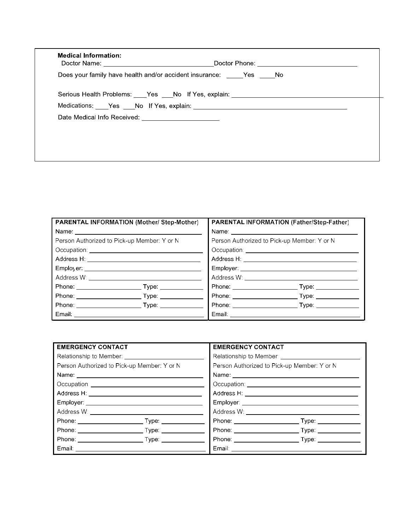|                                                       | Does your family have health and/or accident insurance: Yes No                   |
|-------------------------------------------------------|----------------------------------------------------------------------------------|
|                                                       | Serious Health Problems: ____Yes ___No If Yes, explain: ________________________ |
|                                                       | Medications: ____Yes ____No If Yes, explain: ___________________________________ |
| Date Medical Info Received: _________________________ |                                                                                  |
|                                                       |                                                                                  |
|                                                       |                                                                                  |

| <b>PARENTAL INFORMATION (Mother/ Step-Mother)</b> | PARENTAL INFORMATION (Father/Step-Father)   |  |
|---------------------------------------------------|---------------------------------------------|--|
|                                                   |                                             |  |
| Person Authorized to Pick-up Member: Y or N       | Person Authorized to Pick-up Member: Y or N |  |
|                                                   |                                             |  |
| Address H: _________________________________      | Address H: ____________________________     |  |
|                                                   | Employer <b>Employer</b>                    |  |
|                                                   | Address W: ___________________________      |  |
|                                                   |                                             |  |
|                                                   |                                             |  |
|                                                   |                                             |  |
|                                                   | Email: _______________                      |  |

| <b>EMERGENCY CONTACT</b>                    |  | <b>EMERGENCY CONTACT</b>                    |  |
|---------------------------------------------|--|---------------------------------------------|--|
|                                             |  | Relationship to Member: _____________       |  |
| Person Authorized to Pick-up Member: Y or N |  | Person Authorized to Pick-up Member: Y or N |  |
|                                             |  |                                             |  |
|                                             |  |                                             |  |
|                                             |  | Address H: _______________________________  |  |
|                                             |  |                                             |  |
|                                             |  |                                             |  |
|                                             |  |                                             |  |
|                                             |  |                                             |  |
|                                             |  |                                             |  |
|                                             |  |                                             |  |